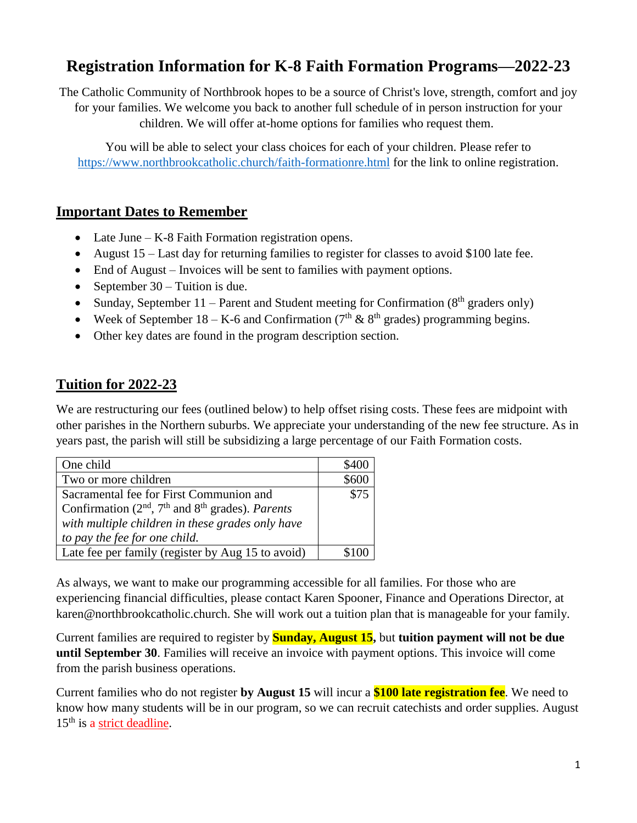# **Registration Information for K-8 Faith Formation Programs—2022-23**

The Catholic Community of Northbrook hopes to be a source of Christ's love, strength, comfort and joy for your families. We welcome you back to another full schedule of in person instruction for your children. We will offer at-home options for families who request them.

You will be able to select your class choices for each of your children. Please refer to <https://www.northbrookcatholic.church/faith-formationre.html> for the link to online registration.

### **Important Dates to Remember**

- Late June K-8 Faith Formation registration opens.
- August 15 Last day for returning families to register for classes to avoid \$100 late fee.
- End of August Invoices will be sent to families with payment options.
- September  $30 -$  Tuition is due.
- Sunday, September 11 Parent and Student meeting for Confirmation  $(8<sup>th</sup>$  graders only)
- Week of September 18 K-6 and Confirmation ( $7<sup>th</sup>$  &  $8<sup>th</sup>$  grades) programming begins.
- Other key dates are found in the program description section.

# **Tuition for 2022-23**

We are restructuring our fees (outlined below) to help offset rising costs. These fees are midpoint with other parishes in the Northern suburbs. We appreciate your understanding of the new fee structure. As in years past, the parish will still be subsidizing a large percentage of our Faith Formation costs.

| One child                                           |      |
|-----------------------------------------------------|------|
| Two or more children                                |      |
| Sacramental fee for First Communion and             | \$75 |
| Confirmation $(2nd, 7th$ and $8th$ grades). Parents |      |
| with multiple children in these grades only have    |      |
| to pay the fee for one child.                       |      |
| Late fee per family (register by Aug 15 to avoid)   |      |

As always, we want to make our programming accessible for all families. For those who are experiencing financial difficulties, please contact Karen Spooner, Finance and Operations Director, at karen@northbrookcatholic.church. She will work out a tuition plan that is manageable for your family.

Current families are required to register by **Sunday, August 15,** but **tuition payment will not be due until September 30**. Families will receive an invoice with payment options. This invoice will come from the parish business operations.

Current families who do not register **by August 15** will incur a **\$100 late registration fee**. We need to know how many students will be in our program, so we can recruit catechists and order supplies. August 15<sup>th</sup> is a strict deadline.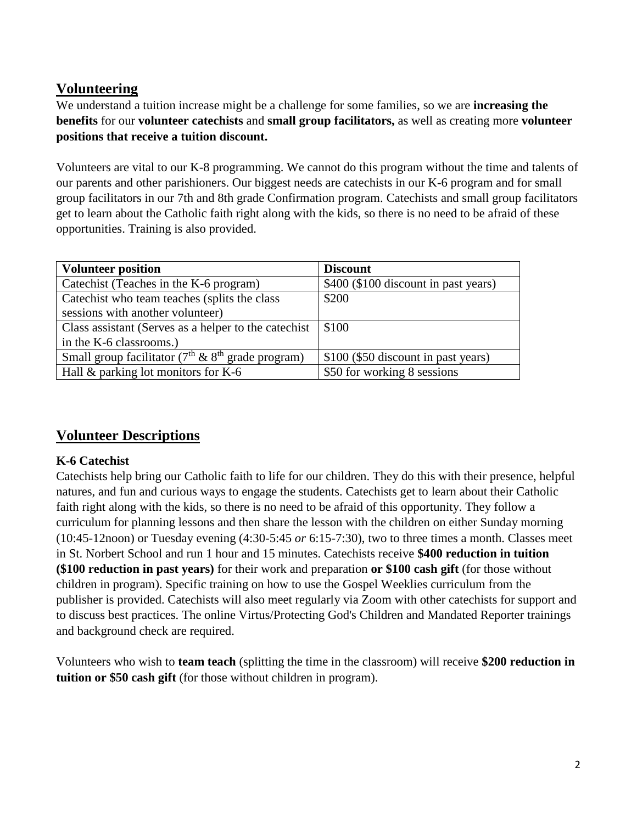# **Volunteering**

We understand a tuition increase might be a challenge for some families, so we are **increasing the benefits** for our **volunteer catechists** and **small group facilitators,** as well as creating more **volunteer positions that receive a tuition discount.**

Volunteers are vital to our K-8 programming. We cannot do this program without the time and talents of our parents and other parishioners. Our biggest needs are catechists in our K-6 program and for small group facilitators in our 7th and 8th grade Confirmation program. Catechists and small group facilitators get to learn about the Catholic faith right along with the kids, so there is no need to be afraid of these opportunities. Training is also provided.

| <b>Volunteer position</b>                              | <b>Discount</b>                      |
|--------------------------------------------------------|--------------------------------------|
| Catechist (Teaches in the K-6 program)                 | \$400 (\$100 discount in past years) |
| Catechist who team teaches (splits the class           | \$200                                |
| sessions with another volunteer)                       |                                      |
| Class assistant (Serves as a helper to the catechist)  | \$100                                |
| in the K-6 classrooms.)                                |                                      |
| Small group facilitator ( $7th$ & $8th$ grade program) | \$100 (\$50 discount in past years)  |
| Hall $\&$ parking lot monitors for K-6                 | \$50 for working 8 sessions          |

# **Volunteer Descriptions**

### **K-6 Catechist**

Catechists help bring our Catholic faith to life for our children. They do this with their presence, helpful natures, and fun and curious ways to engage the students. Catechists get to learn about their Catholic faith right along with the kids, so there is no need to be afraid of this opportunity. They follow a curriculum for planning lessons and then share the lesson with the children on either Sunday morning (10:45-12noon) or Tuesday evening (4:30-5:45 *or* 6:15-7:30), two to three times a month. Classes meet in St. Norbert School and run 1 hour and 15 minutes. Catechists receive **\$400 reduction in tuition (\$100 reduction in past years)** for their work and preparation **or \$100 cash gift** (for those without children in program). Specific training on how to use the Gospel Weeklies curriculum from the publisher is provided. Catechists will also meet regularly via Zoom with other catechists for support and to discuss best practices. The online Virtus/Protecting God's Children and Mandated Reporter trainings and background check are required.

Volunteers who wish to **team teach** (splitting the time in the classroom) will receive **\$200 reduction in tuition or \$50 cash gift** (for those without children in program).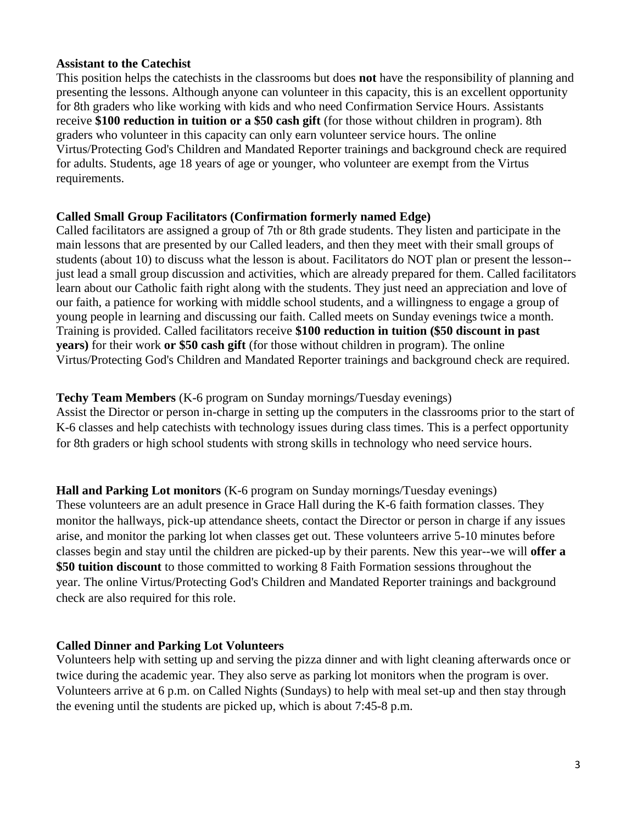#### **Assistant to the Catechist**

This position helps the catechists in the classrooms but does **not** have the responsibility of planning and presenting the lessons. Although anyone can volunteer in this capacity, this is an excellent opportunity for 8th graders who like working with kids and who need Confirmation Service Hours. Assistants receive **\$100 reduction in tuition or a \$50 cash gift** (for those without children in program). 8th graders who volunteer in this capacity can only earn volunteer service hours. The online Virtus/Protecting God's Children and Mandated Reporter trainings and background check are required for adults. Students, age 18 years of age or younger, who volunteer are exempt from the Virtus requirements.

#### **Called Small Group Facilitators (Confirmation formerly named Edge)**

Called facilitators are assigned a group of 7th or 8th grade students. They listen and participate in the main lessons that are presented by our Called leaders, and then they meet with their small groups of students (about 10) to discuss what the lesson is about. Facilitators do NOT plan or present the lesson- just lead a small group discussion and activities, which are already prepared for them. Called facilitators learn about our Catholic faith right along with the students. They just need an appreciation and love of our faith, a patience for working with middle school students, and a willingness to engage a group of young people in learning and discussing our faith. Called meets on Sunday evenings twice a month. Training is provided. Called facilitators receive **\$100 reduction in tuition (\$50 discount in past years)** for their work **or \$50 cash gift** (for those without children in program). The online Virtus/Protecting God's Children and Mandated Reporter trainings and background check are required.

#### **Techy Team Members** (K-6 program on Sunday mornings/Tuesday evenings)

Assist the Director or person in-charge in setting up the computers in the classrooms prior to the start of K-6 classes and help catechists with technology issues during class times. This is a perfect opportunity for 8th graders or high school students with strong skills in technology who need service hours.

**Hall and Parking Lot monitors** (K-6 program on Sunday mornings/Tuesday evenings) These volunteers are an adult presence in Grace Hall during the K-6 faith formation classes. They monitor the hallways, pick-up attendance sheets, contact the Director or person in charge if any issues arise, and monitor the parking lot when classes get out. These volunteers arrive 5-10 minutes before classes begin and stay until the children are picked-up by their parents. New this year--we will **offer a \$50 tuition discount** to those committed to working 8 Faith Formation sessions throughout the year. The online Virtus/Protecting God's Children and Mandated Reporter trainings and background check are also required for this role.

#### **Called Dinner and Parking Lot Volunteers**

Volunteers help with setting up and serving the pizza dinner and with light cleaning afterwards once or twice during the academic year. They also serve as parking lot monitors when the program is over. Volunteers arrive at 6 p.m. on Called Nights (Sundays) to help with meal set-up and then stay through the evening until the students are picked up, which is about 7:45-8 p.m.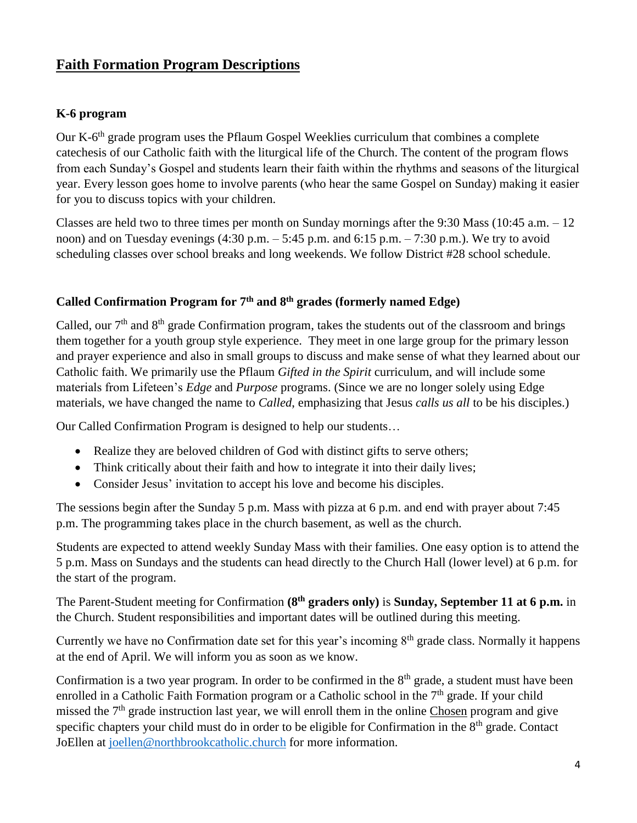# **Faith Formation Program Descriptions**

### **K-6 program**

Our K-6<sup>th</sup> grade program uses the Pflaum Gospel Weeklies curriculum that combines a complete catechesis of our Catholic faith with the liturgical life of the Church. The content of the program flows from each Sunday's Gospel and students learn their faith within the rhythms and seasons of the liturgical year. Every lesson goes home to involve parents (who hear the same Gospel on Sunday) making it easier for you to discuss topics with your children.

Classes are held two to three times per month on Sunday mornings after the 9:30 Mass (10:45 a.m. – 12 noon) and on Tuesday evenings  $(4:30 \text{ p.m.} - 5:45 \text{ p.m.} \text{ and } 6:15 \text{ p.m.} - 7:30 \text{ p.m.})$ . We try to avoid scheduling classes over school breaks and long weekends. We follow District #28 school schedule.

# **Called Confirmation Program for 7th and 8th grades (formerly named Edge)**

Called, our  $7<sup>th</sup>$  and  $8<sup>th</sup>$  grade Confirmation program, takes the students out of the classroom and brings them together for a youth group style experience. They meet in one large group for the primary lesson and prayer experience and also in small groups to discuss and make sense of what they learned about our Catholic faith. We primarily use the Pflaum *Gifted in the Spirit* curriculum, and will include some materials from Lifeteen's *Edge* and *Purpose* programs. (Since we are no longer solely using Edge materials, we have changed the name to *Called*, emphasizing that Jesus *calls us all* to be his disciples.)

Our Called Confirmation Program is designed to help our students…

- Realize they are beloved children of God with distinct gifts to serve others;
- Think critically about their faith and how to integrate it into their daily lives;
- Consider Jesus' invitation to accept his love and become his disciples.

The sessions begin after the Sunday 5 p.m. Mass with pizza at 6 p.m. and end with prayer about 7:45 p.m. The programming takes place in the church basement, as well as the church.

Students are expected to attend weekly Sunday Mass with their families. One easy option is to attend the 5 p.m. Mass on Sundays and the students can head directly to the Church Hall (lower level) at 6 p.m. for the start of the program.

The Parent-Student meeting for Confirmation **(8th graders only)** is **Sunday, September 11 at 6 p.m.** in the Church. Student responsibilities and important dates will be outlined during this meeting.

Currently we have no Confirmation date set for this year's incoming  $8<sup>th</sup>$  grade class. Normally it happens at the end of April. We will inform you as soon as we know.

Confirmation is a two year program. In order to be confirmed in the 8<sup>th</sup> grade, a student must have been enrolled in a Catholic Faith Formation program or a Catholic school in the  $7<sup>th</sup>$  grade. If your child missed the 7<sup>th</sup> grade instruction last year, we will enroll them in the online Chosen program and give specific chapters your child must do in order to be eligible for Confirmation in the 8<sup>th</sup> grade. Contact JoEllen at [joellen@northbrookcatholic.church](mailto:joellen@northbrookcatholic.church) for more information.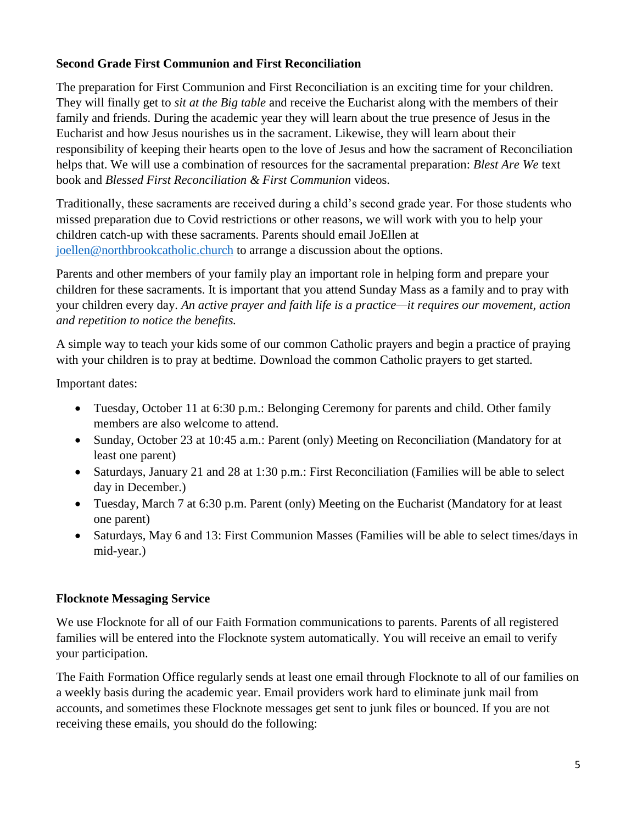### **Second Grade First Communion and First Reconciliation**

The preparation for First Communion and First Reconciliation is an exciting time for your children. They will finally get to *sit at the Big table* and receive the Eucharist along with the members of their family and friends. During the academic year they will learn about the true presence of Jesus in the Eucharist and how Jesus nourishes us in the sacrament. Likewise, they will learn about their responsibility of keeping their hearts open to the love of Jesus and how the sacrament of Reconciliation helps that. We will use a combination of resources for the sacramental preparation: *Blest Are We* text book and *Blessed First Reconciliation & First Communion* videos.

Traditionally, these sacraments are received during a child's second grade year. For those students who missed preparation due to Covid restrictions or other reasons, we will work with you to help your children catch-up with these sacraments. Parents should email JoEllen at [joellen@northbrookcatholic.church](mailto:joellen@northbrookcatholic.church) to arrange a discussion about the options.

Parents and other members of your family play an important role in helping form and prepare your children for these sacraments. It is important that you attend Sunday Mass as a family and to pray with your children every day. *An active prayer and faith life is a practice—it requires our movement, action and repetition to notice the benefits.*

A simple way to teach your kids some of our common Catholic prayers and begin a practice of praying with your children is to pray at bedtime. Download the common Catholic prayers to get started.

Important dates:

- Tuesday, October 11 at 6:30 p.m.: Belonging Ceremony for parents and child. Other family members are also welcome to attend.
- Sunday, October 23 at 10:45 a.m.: Parent (only) Meeting on Reconciliation (Mandatory for at least one parent)
- Saturdays, January 21 and 28 at 1:30 p.m.: First Reconciliation (Families will be able to select day in December.)
- Tuesday, March 7 at 6:30 p.m. Parent (only) Meeting on the Eucharist (Mandatory for at least one parent)
- Saturdays, May 6 and 13: First Communion Masses (Families will be able to select times/days in mid-year.)

### **Flocknote Messaging Service**

We use Flocknote for all of our Faith Formation communications to parents. Parents of all registered families will be entered into the Flocknote system automatically. You will receive an email to verify your participation.

The Faith Formation Office regularly sends at least one email through Flocknote to all of our families on a weekly basis during the academic year. Email providers work hard to eliminate junk mail from accounts, and sometimes these Flocknote messages get sent to junk files or bounced. If you are not receiving these emails, you should do the following: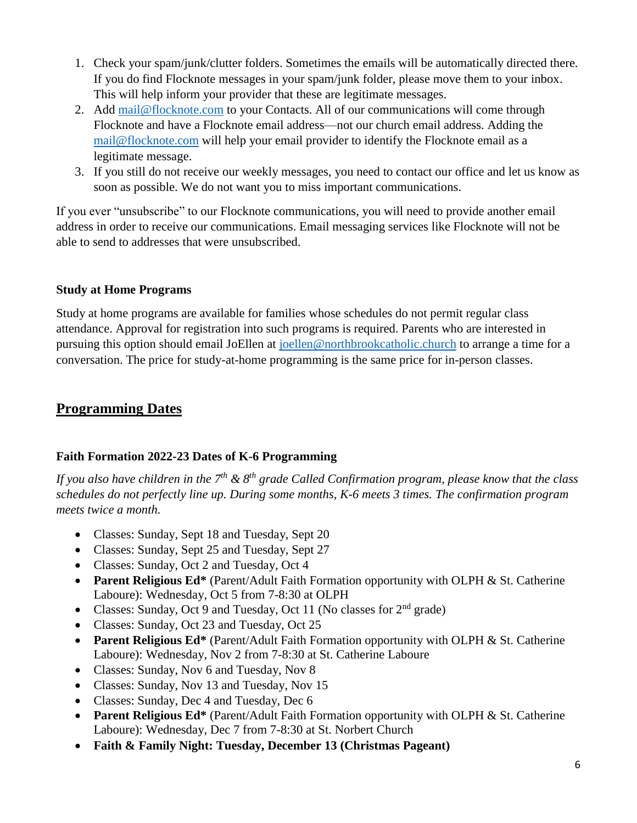- 1. Check your spam/junk/clutter folders. Sometimes the emails will be automatically directed there. If you do find Flocknote messages in your spam/junk folder, please move them to your inbox. This will help inform your provider that these are legitimate messages.
- 2. Add [mail@flocknote.com](mailto:mail@flocknote.com) to your Contacts. All of our communications will come through Flocknote and have a Flocknote email address—not our church email address. Adding the [mail@flocknote.com](mailto:mail@flocknote.com) will help your email provider to identify the Flocknote email as a legitimate message.
- 3. If you still do not receive our weekly messages, you need to contact our office and let us know as soon as possible. We do not want you to miss important communications.

If you ever "unsubscribe" to our Flocknote communications, you will need to provide another email address in order to receive our communications. Email messaging services like Flocknote will not be able to send to addresses that were unsubscribed.

### **Study at Home Programs**

Study at home programs are available for families whose schedules do not permit regular class attendance. Approval for registration into such programs is required. Parents who are interested in pursuing this option should email JoEllen at [joellen@northbrookcatholic.church](mailto:joellen@northbrookcatholic.church) to arrange a time for a conversation. The price for study-at-home programming is the same price for in-person classes.

# **Programming Dates**

### **Faith Formation 2022-23 Dates of K-6 Programming**

*If you also have children in the 7th & 8th grade Called Confirmation program, please know that the class schedules do not perfectly line up. During some months, K-6 meets 3 times. The confirmation program meets twice a month.*

- Classes: Sunday, Sept 18 and Tuesday, Sept 20
- Classes: Sunday, Sept 25 and Tuesday, Sept 27
- Classes: Sunday, Oct 2 and Tuesday, Oct 4
- **Parent Religious Ed\*** (Parent/Adult Faith Formation opportunity with OLPH & St. Catherine Laboure): Wednesday, Oct 5 from 7-8:30 at OLPH
- Classes: Sunday, Oct 9 and Tuesday, Oct 11 (No classes for  $2<sup>nd</sup>$  grade)
- Classes: Sunday, Oct 23 and Tuesday, Oct 25
- **Parent Religious Ed\*** (Parent/Adult Faith Formation opportunity with OLPH & St. Catherine Laboure): Wednesday, Nov 2 from 7-8:30 at St. Catherine Laboure
- Classes: Sunday, Nov 6 and Tuesday, Nov 8
- Classes: Sunday, Nov 13 and Tuesday, Nov 15
- Classes: Sunday, Dec 4 and Tuesday, Dec 6
- **Parent Religious Ed\*** (Parent/Adult Faith Formation opportunity with OLPH & St. Catherine Laboure): Wednesday, Dec 7 from 7-8:30 at St. Norbert Church
- **Faith & Family Night: Tuesday, December 13 (Christmas Pageant)**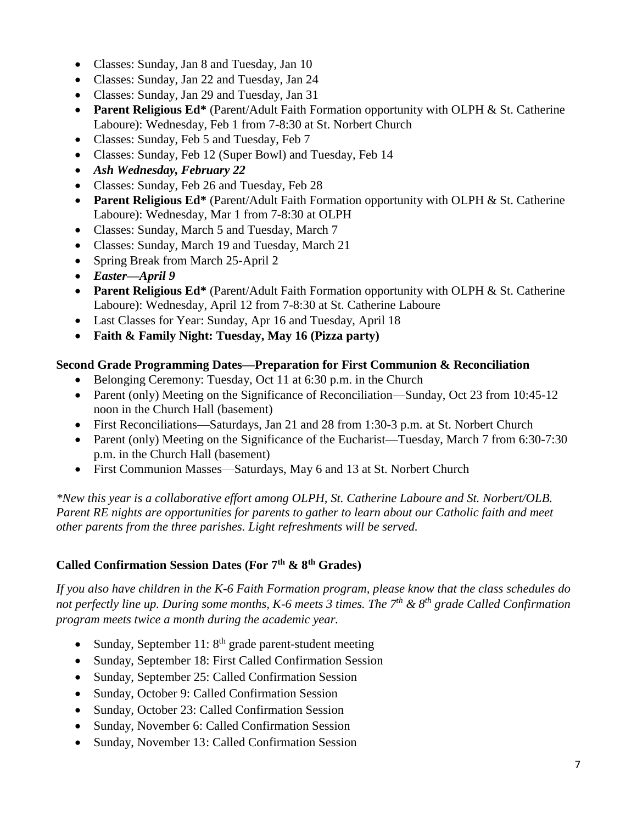- Classes: Sunday, Jan 8 and Tuesday, Jan 10
- Classes: Sunday, Jan 22 and Tuesday, Jan 24
- Classes: Sunday, Jan 29 and Tuesday, Jan 31
- **Parent Religious Ed\*** (Parent/Adult Faith Formation opportunity with OLPH & St. Catherine Laboure): Wednesday, Feb 1 from 7-8:30 at St. Norbert Church
- Classes: Sunday, Feb 5 and Tuesday, Feb 7
- Classes: Sunday, Feb 12 (Super Bowl) and Tuesday, Feb 14
- *Ash Wednesday, February 22*
- Classes: Sunday, Feb 26 and Tuesday, Feb 28
- **Parent Religious Ed\*** (Parent/Adult Faith Formation opportunity with OLPH & St. Catherine Laboure): Wednesday, Mar 1 from 7-8:30 at OLPH
- Classes: Sunday, March 5 and Tuesday, March 7
- Classes: Sunday, March 19 and Tuesday, March 21
- Spring Break from March 25-April 2
- *Easter—April 9*
- **Parent Religious Ed\*** (Parent/Adult Faith Formation opportunity with OLPH & St. Catherine Laboure): Wednesday, April 12 from 7-8:30 at St. Catherine Laboure
- Last Classes for Year: Sunday, Apr 16 and Tuesday, April 18
- **Faith & Family Night: Tuesday, May 16 (Pizza party)**

#### **Second Grade Programming Dates—Preparation for First Communion & Reconciliation**

- Belonging Ceremony: Tuesday, Oct 11 at 6:30 p.m. in the Church
- Parent (only) Meeting on the Significance of Reconciliation—Sunday, Oct 23 from 10:45-12 noon in the Church Hall (basement)
- First Reconciliations—Saturdays, Jan 21 and 28 from 1:30-3 p.m. at St. Norbert Church
- Parent (only) Meeting on the Significance of the Eucharist—Tuesday, March 7 from 6:30-7:30 p.m. in the Church Hall (basement)
- First Communion Masses—Saturdays, May 6 and 13 at St. Norbert Church

*\*New this year is a collaborative effort among OLPH, St. Catherine Laboure and St. Norbert/OLB. Parent RE nights are opportunities for parents to gather to learn about our Catholic faith and meet other parents from the three parishes. Light refreshments will be served.*

#### **Called Confirmation Session Dates (For 7th & 8th Grades)**

*If you also have children in the K-6 Faith Formation program, please know that the class schedules do not perfectly line up. During some months, K-6 meets 3 times. The 7th & 8th grade Called Confirmation program meets twice a month during the academic year.*

- Sunday, September 11:  $8<sup>th</sup>$  grade parent-student meeting
- Sunday, September 18: First Called Confirmation Session
- Sunday, September 25: Called Confirmation Session
- Sunday, October 9: Called Confirmation Session
- Sunday, October 23: Called Confirmation Session
- Sunday, November 6: Called Confirmation Session
- Sunday, November 13: Called Confirmation Session